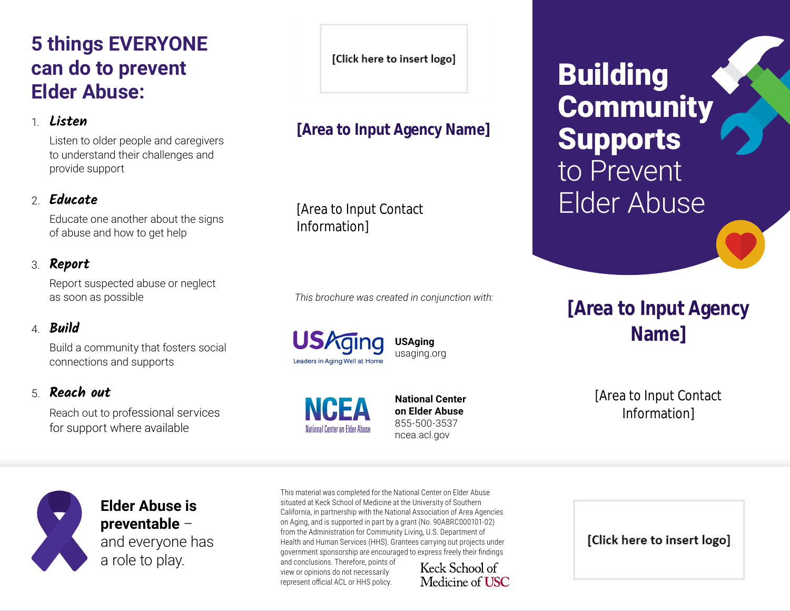# **5 things EVERYONE can do to prevent Elder Abuse:**

#### 1. **Listen**

Listen to older people and caregivers to understand their challenges and provide support

### 2. **Educate**

Educate one another about the signs of abuse and how to get help

### 3. **Report**

Report suspected abuse or neglect as soon as possible

### 4. **Build**

Build a community that fosters social connections and supports

### 5. **Reach out**

Reach out to professional services for support where available

[Click here to insert logo]

## **[Area to Input Agency Name]**

[Area to Input Contact Information]

*This brochure was created in conjunction with:*

**USAging**  usaging.org

National Center on Flder Abuse

**National Center on Elder Abuse**  855-500-3537 [ncea.acl.gov](http://ncea.acl.gov)



**Elder Abuse is preventable** – and everyone has a role to play.

This material was completed for the National Center on Elder Abuse situated at Keck School of Medicine at the University of Southern California, in partnership with the National Association of Area Agencies on Aging, and is supported in part by a grant (No. 90ABRC000101-02) from the Administration for Community Living, U.S. Department of Health and Human Services (HHS). Grantees carrying out projects under government sponsorship are encouraged to express freely their findings

and conclusions. Therefore, points of view or opinions do not necessarily represent official ACL or HHS policy.

Keck School of Medicine of **USC**  Building **Community** Supports to Prevent Elder Abuse

# **[Area to Input Agency Name]**

[Area to Input Contact Information]

[Click here to insert logo]